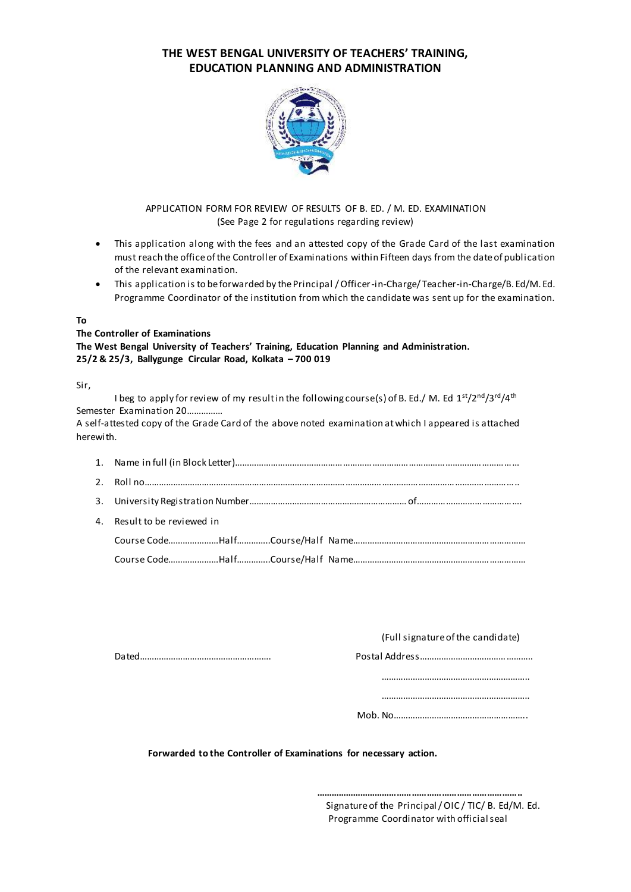# **THE WEST BENGAL UNIVERSITY OF TEACHERS' TRAINING, EDUCATION PLANNING AND ADMINISTRATION**



# APPLICATION FORM FOR REVIEW OF RESULTS OF B. ED. / M. ED. EXAMINATION (See Page 2 for regulations regarding review)

- This application along with the fees and an attested copy of the Grade Card of the last examination must reach the office of the Controller of Examinations within Fifteen days from the date of publication of the relevant examination.
- This application is to be forwarded by the Principal / Officer-in-Charge/ Teacher-in-Charge/B. Ed/M. Ed. Programme Coordinator of the institution from which the candidate was sent up for the examination.

# **To**

#### **The Controller of Examinations**

**The West Bengal University of Teachers' Training, Education Planning and Administration. 25/2 & 25/3, Ballygunge Circular Road, Kolkata – 700 019**

# Sir,

| I beg to apply for review of my result in the following course(s) of B. Ed./ M. Ed $1st/2nd/3rd/4th$  |
|-------------------------------------------------------------------------------------------------------|
| Semester Examination 20                                                                               |
| A self-attested copy of the Grade Card of the above noted examination at which I appeared is attached |
| herewith.                                                                                             |

| 4. Result to be reviewed in |
|-----------------------------|
|                             |
|                             |

| (Full signature of the candidate) |
|-----------------------------------|
|                                   |

Dated………………………………………………. Postal Address………………………………………..

……………………………………………………..

……………………………………………………..

Mob. No………………………………………………..

 **Forwarded to the Controller of Examinations for necessary action.**

 Signature of the Principal/ OIC / TIC/ B. Ed/M. Ed. Programme Coordinator with official seal

 **………………………………………………………………………..**